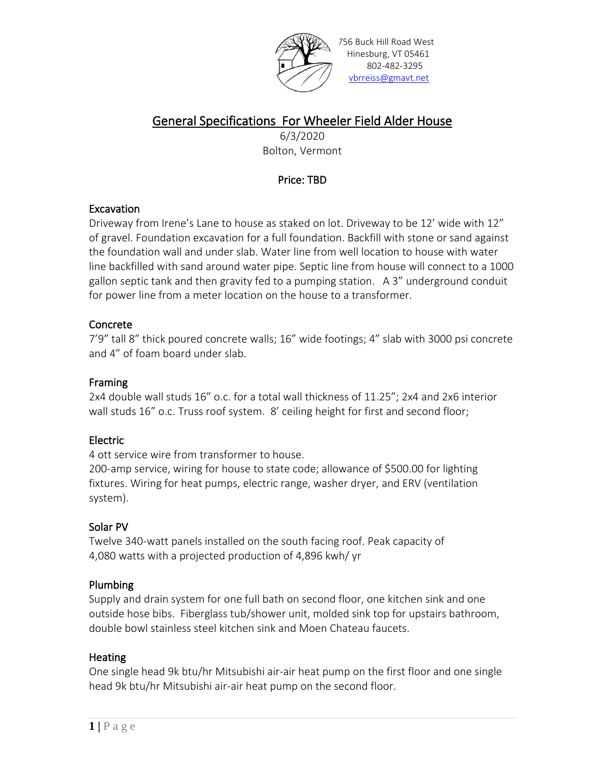

756 Buck Hill Road West Hinesburg, VT 05461 802-482-3295 [vbrreiss@gmavt.net](mailto:vbrreiss@gmavt.net)

# General Specifications For Wheeler Field Alder House

6/3/2020 Bolton, Vermont

## Price: TBD

### Excavation

Driveway from Irene's Lane to house as staked on lot. Driveway to be 12' wide with 12" of gravel. Foundation excavation for a full foundation. Backfill with stone or sand against the foundation wall and under slab. Water line from well location to house with water line backfilled with sand around water pipe. Septic line from house will connect to a 1000 gallon septic tank and then gravity fed to a pumping station. A 3" underground conduit for power line from a meter location on the house to a transformer.

## Concrete

7'9" tall 8" thick poured concrete walls; 16" wide footings; 4" slab with 3000 psi concrete and 4" of foam board under slab.

## Framing

2x4 double wall studs 16" o.c. for a total wall thickness of 11.25"; 2x4 and 2x6 interior wall studs 16" o.c. Truss roof system. 8' ceiling height for first and second floor;

## Electric

4 ott service wire from transformer to house.

200-amp service, wiring for house to state code; allowance of \$500.00 for lighting fixtures. Wiring for heat pumps, electric range, washer dryer, and ERV (ventilation system).

## Solar PV

Twelve 340-watt panels installed on the south facing roof. Peak capacity of 4,080 watts with a projected production of 4,896 kwh/ yr

## Plumbing

Supply and drain system for one full bath on second floor, one kitchen sink and one outside hose bibs. Fiberglass tub/shower unit, molded sink top for upstairs bathroom, double bowl stainless steel kitchen sink and Moen Chateau faucets.

## **Heating**

One single head 9k btu/hr Mitsubishi air-air heat pump on the first floor and one single head 9k btu/hr Mitsubishi air-air heat pump on the second floor.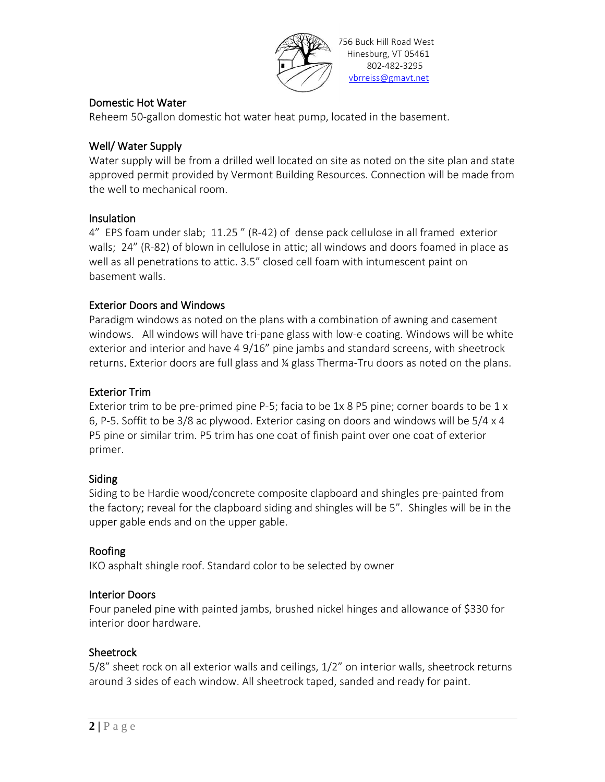

### Domestic Hot Water

Reheem 50-gallon domestic hot water heat pump, located in the basement.

#### Well/ Water Supply

Water supply will be from a drilled well located on site as noted on the site plan and state approved permit provided by Vermont Building Resources. Connection will be made from the well to mechanical room.

#### Insulation

4" EPS foam under slab; 11.25 " (R-42) of dense pack cellulose in all framed exterior walls; 24" (R-82) of blown in cellulose in attic; all windows and doors foamed in place as well as all penetrations to attic. 3.5" closed cell foam with intumescent paint on basement walls.

#### Exterior Doors and Windows

Paradigm windows as noted on the plans with a combination of awning and casement windows. All windows will have tri-pane glass with low-e coating. Windows will be white exterior and interior and have 4 9/16" pine jambs and standard screens, with sheetrock returns. Exterior doors are full glass and ¼ glass Therma-Tru doors as noted on the plans.

#### Exterior Trim

Exterior trim to be pre-primed pine P-5; facia to be 1x 8 P5 pine; corner boards to be 1 x 6, P-5. Soffit to be 3/8 ac plywood. Exterior casing on doors and windows will be 5/4 x 4 P5 pine or similar trim. P5 trim has one coat of finish paint over one coat of exterior primer.

#### Siding

Siding to be Hardie wood/concrete composite clapboard and shingles pre-painted from the factory; reveal for the clapboard siding and shingles will be 5". Shingles will be in the upper gable ends and on the upper gable.

#### Roofing

IKO asphalt shingle roof. Standard color to be selected by owner

#### Interior Doors

Four paneled pine with painted jambs, brushed nickel hinges and allowance of \$330 for interior door hardware.

#### **Sheetrock**

5/8" sheet rock on all exterior walls and ceilings, 1/2" on interior walls, sheetrock returns around 3 sides of each window. All sheetrock taped, sanded and ready for paint.